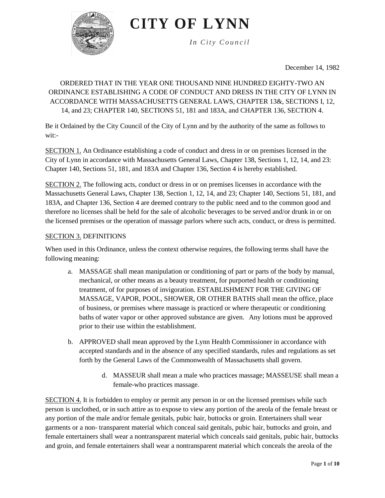

*In City Council*

December 14, 1982

## ORDERED THAT IN THE YEAR ONE THOUSAND NINE HUNDRED EIGHTY-TWO AN ORDINANCE ESTABLISHING A CODE OF CONDUCT AND DRESS IN THE CITY OF LYNN IN ACCORDANCE WITH MASSACHUSETTS GENERAL LAWS, CHAPTER 13&, SECTIONS I, 12, 14, and 23; CHAPTER 140, SECTIONS 51, 181 and 183A, and CHAPTER 136, SECTION 4.

Be it Ordained by the City Council of the City of Lynn and by the authority of the same as follows to wit:-

SECTION 1. An Ordinance establishing a code of conduct and dress in or on premises licensed in the City of Lynn in accordance with Massachusetts General Laws, Chapter 138, Sections 1, 12, 14, and 23: Chapter 140, Sections 51, 181, and 183A and Chapter 136, Section 4 is hereby established.

SECTION 2. The following acts, conduct or dress in or on premises licenses in accordance with the Massachusetts General Laws, Chapter 138, Section 1, 12, 14, and 23; Chapter 140, Sections 51, 181, and 183A, and Chapter 136, Section 4 are deemed contrary to the public need and to the common good and therefore no licenses shall be held for the sale of alcoholic beverages to be served and/or drunk in or on the licensed premises or the operation of massage parlors where such acts, conduct, or dress is permitted.

#### SECTION 3. DEFINITIONS

When used in this Ordinance, unless the context otherwise requires, the following terms shall have the following meaning:

- a. MASSAGE shall mean manipulation or conditioning of part or parts of the body by manual, mechanical, or other means as a beauty treatment, for purported health or conditioning treatment, of for purposes of invigoration. ESTABLISHMENT FOR THE GIVING OF MASSAGE, VAPOR, POOL, SHOWER, OR OTHER BATHS shall mean the office, place of business, or premises where massage is practiced or where therapeutic or conditioning baths of water vapor or other approved substance are given. Any lotions must be approved prior to their use within the establishment.
- b. APPROVED shall mean approved by the Lynn Health Commissioner in accordance with accepted standards and in the absence of any specified standards, rules and regulations as set forth by the General Laws of the Commonwealth of Massachusetts shall govern.
	- d. MASSEUR shall mean a male who practices massage; MASSEUSE shall mean a female-who practices massage.

SECTION 4. It is forbidden to employ or permit any person in or on the licensed premises while such person is unclothed, or in such attire as to expose to view any portion of the areola of the female breast or any portion of the male and/or female genitals, pubic hair, buttocks or groin. Entertainers shall wear garments or a non- transparent material which conceal said genitals, pubic hair, buttocks and groin, and female entertainers shall wear a nontransparent material which conceals said genitals, pubic hair, buttocks and groin, and female entertainers shall wear a nontransparent material which conceals the areola of the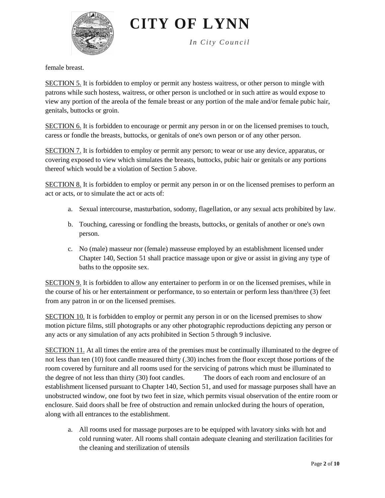

*In City Council*

female breast.

SECTION 5. It is forbidden to employ or permit any hostess waitress, or other person to mingle with patrons while such hostess, waitress, or other person is unclothed or in such attire as would expose to view any portion of the areola of the female breast or any portion of the male and/or female pubic hair, genitals, buttocks or groin.

SECTION 6. It is forbidden to encourage or permit any person in or on the licensed premises to touch, caress or fondle the breasts, buttocks, or genitals of one's own person or of any other person.

SECTION 7. It is forbidden to employ or permit any person; to wear or use any device, apparatus, or covering exposed to view which simulates the breasts, buttocks, pubic hair or genitals or any portions thereof which would be a violation of Section 5 above.

SECTION 8. It is forbidden to employ or permit any person in or on the licensed premises to perform an act or acts, or to simulate the act or acts of:

- a. Sexual intercourse, masturbation, sodomy, flagellation, or any sexual acts prohibited by law.
- b. Touching, caressing or fondling the breasts, buttocks, or genitals of another or one's own person.
- c. No (male) masseur nor (female) masseuse employed by an establishment licensed under Chapter 140, Section 51 shall practice massage upon or give or assist in giving any type of baths to the opposite sex.

SECTION 9. It is forbidden to allow any entertainer to perform in or on the licensed premises, while in the course of his or her entertainment or performance, to so entertain or perform less than/three (3) feet from any patron in or on the licensed premises.

SECTION 10. It is forbidden to employ or permit any person in or on the licensed premises to show motion picture films, still photographs or any other photographic reproductions depicting any person or any acts or any simulation of any acts prohibited in Section 5 through 9 inclusive.

SECTION 11. At all times the entire area of the premises must be continually illuminated to the degree of not less than ten (10) foot candle measured thirty (.30) inches from the floor except those portions of the room covered by furniture and all rooms used for the servicing of patrons which must be illuminated to the degree of not less than thirty (30) foot candles. The doors of each room and enclosure of an establishment licensed pursuant to Chapter 140, Section 51, and used for massage purposes shall have an unobstructed window, one foot by two feet in size, which permits visual observation of the entire room or enclosure. Said doors shall be free of obstruction and remain unlocked during the hours of operation, along with all entrances to the establishment.

a. All rooms used for massage purposes are to be equipped with lavatory sinks with hot and cold running water. All rooms shall contain adequate cleaning and sterilization facilities for the cleaning and sterilization of utensils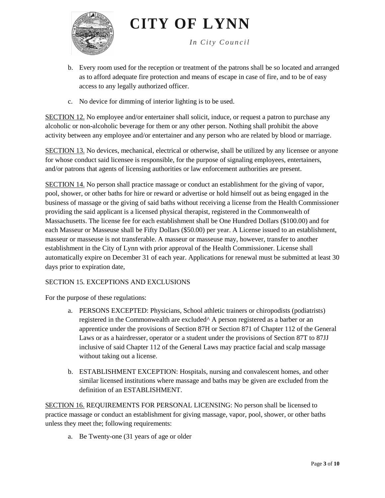

*In City Council*

- b. Every room used for the reception or treatment of the patrons shall be so located and arranged as to afford adequate fire protection and means of escape in case of fire, and to be of easy access to any legally authorized officer.
- c. No device for dimming of interior lighting is to be used.

SECTION 12. No employee and/or entertainer shall solicit, induce, or request a patron to purchase any alcoholic or non-alcoholic beverage for them or any other person. Nothing shall prohibit the above activity between any employee and/or entertainer and any person who are related by blood or marriage.

SECTION 13. No devices, mechanical, electrical or otherwise, shall be utilized by any licensee or anyone for whose conduct said licensee is responsible, for the purpose of signaling employees, entertainers, and/or patrons that agents of licensing authorities or law enforcement authorities are present.

SECTION 14. No person shall practice massage or conduct an establishment for the giving of vapor, pool, shower, or other baths for hire or reward or advertise or hold himself out as being engaged in the business of massage or the giving of said baths without receiving a license from the Health Commissioner providing the said applicant is a licensed physical therapist, registered in the Commonwealth of Massachusetts. The license fee for each establishment shall be One Hundred Dollars (\$100.00) and for each Masseur or Masseuse shall be Fifty Dollars (\$50.00) per year. A License issued to an establishment, masseur or masseuse is not transferable. A masseur or masseuse may, however, transfer to another establishment in the City of Lynn with prior approval of the Health Commissioner. License shall automatically expire on December 31 of each year. Applications for renewal must be submitted at least 30 days prior to expiration date,

### SECTION 15. EXCEPTIONS AND EXCLUSIONS

For the purpose of these regulations:

- a. PERSONS EXCEPTED: Physicians, School athletic trainers or chiropodists (podiatrists) registered in the Commonwealth are excluded^ A person registered as a barber or an apprentice under the provisions of Section 87H or Section 871 of Chapter 112 of the General Laws or as a hairdresser, operator or a student under the provisions of Section 87T to 87JJ inclusive of said Chapter 112 of the General Laws may practice facial and scalp massage without taking out a license.
- b. ESTABLISHMENT EXCEPTION: Hospitals, nursing and convalescent homes, and other similar licensed institutions where massage and baths may be given are excluded from the definition of an ESTABLISHMENT.

SECTION 16. REQUIREMENTS FOR PERSONAL LICENSING: No person shall be licensed to practice massage or conduct an establishment for giving massage, vapor, pool, shower, or other baths unless they meet the; following requirements:

a. Be Twenty-one (31 years of age or older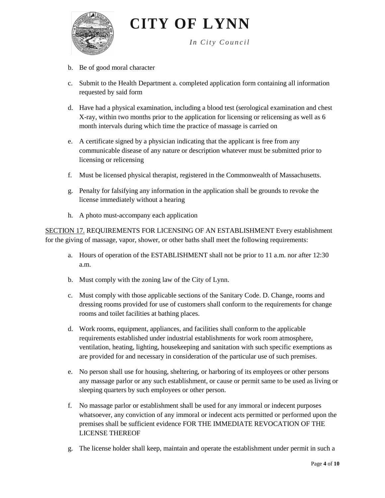

*In City Council*

- b. Be of good moral character
- c. Submit to the Health Department a. completed application form containing all information requested by said form
- d. Have had a physical examination, including a blood test (serological examination and chest X-ray, within two months prior to the application for licensing or relicensing as well as 6 month intervals during which time the practice of massage is carried on
- e. A certificate signed by a physician indicating that the applicant is free from any communicable disease of any nature or description whatever must be submitted prior to licensing or relicensing
- f. Must be licensed physical therapist, registered in the Commonwealth of Massachusetts.
- g. Penalty for falsifying any information in the application shall be grounds to revoke the license immediately without a hearing
- h. A photo must-accompany each application

SECTION 17. REQUIREMENTS FOR LICENSING OF AN ESTABLISHMENT Every establishment for the giving of massage, vapor, shower, or other baths shall meet the following requirements:

- a. Hours of operation of the ESTABLISHMENT shall not be prior to 11 a.m. nor after 12:30 a.m.
- b. Must comply with the zoning law of the City of Lynn.
- c. Must comply with those applicable sections of the Sanitary Code. D. Change, rooms and dressing rooms provided for use of customers shall conform to the requirements for change rooms and toilet facilities at bathing places.
- d. Work rooms, equipment, appliances, and facilities shall conform to the applicable requirements established under industrial establishments for work room atmosphere, ventilation, heating, lighting, housekeeping and sanitation with such specific exemptions as are provided for and necessary in consideration of the particular use of such premises.
- e. No person shall use for housing, sheltering, or harboring of its employees or other persons any massage parlor or any such establishment, or cause or permit same to be used as living or sleeping quarters by such employees or other person.
- f. No massage parlor or establishment shall be used for any immoral or indecent purposes whatsoever, any conviction of any immoral or indecent acts permitted or performed upon the premises shall be sufficient evidence FOR THE IMMEDIATE REVOCATION OF THE LICENSE THEREOF
- g. The license holder shall keep, maintain and operate the establishment under permit in such a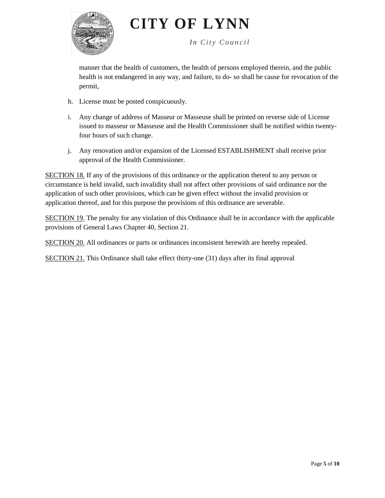

*In City Council*

manner that the health of customers, the health of persons employed therein, and the public health is not endangered in any way, and failure, to do- so shall be cause for revocation of the permit,

- h. License must be posted conspicuously.
- i. Any change of address of Masseur or Masseuse shall be printed on reverse side of License issued to masseur or Masseuse and the Health Commissioner shall be notified within twentyfour hours of such change.
- j. Any renovation and/or expansion of the Licensed ESTABLISHMENT shall receive prior approval of the Health Commissioner.

SECTION 18. If any of the provisions of this ordinance or the application thereof to any person or circumstance is held invalid, such invalidity shall not affect other provisions of said ordinance nor the application of such other provisions, which can be given effect without the invalid provision or application thereof, and for this purpose the provisions of this ordinance are severable.

SECTION 19. The penalty for any violation of this Ordinance shall be in accordance with the applicable provisions of General Laws Chapter 40, Section 21.

SECTION 20. All ordinances or parts or ordinances inconsistent herewith are hereby repealed.

SECTION 21. This Ordinance shall take effect thirty-one (31) days after its final approval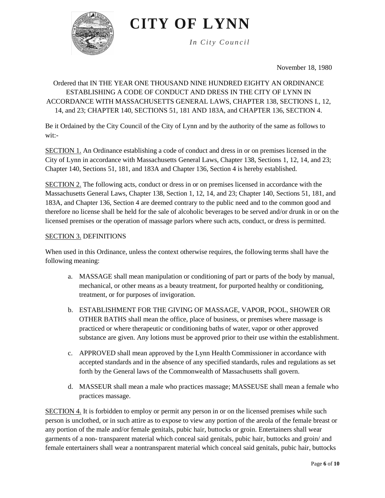

*In City Council*

November 18, 1980

# Ordered that IN THE YEAR ONE THOUSAND NINE HUNDRED EIGHTY AN ORDINANCE ESTABLISHING A CODE OF CONDUCT AND DRESS IN THE CITY OF LYNN IN ACCORDANCE WITH MASSACHUSETTS GENERAL LAWS, CHAPTER 138, SECTIONS I., 12, 14, and 23; CHAPTER 140, SECTIONS 51, 181 AND 183A, and CHAPTER 136, SECTION 4.

Be it Ordained by the City Council of the City of Lynn and by the authority of the same as follows to wit:-

SECTION 1. An Ordinance establishing a code of conduct and dress in or on premises licensed in the City of Lynn in accordance with Massachusetts General Laws, Chapter 138, Sections 1, 12, 14, and 23; Chapter 140, Sections 51, 181, and 183A and Chapter 136, Section 4 is hereby established.

SECTION 2. The following acts, conduct or dress in or on premises licensed in accordance with the Massachusetts General Laws, Chapter 138, Section 1, 12, 14, and 23; Chapter 140, Sections 51, 181, and 183A, and Chapter 136, Section 4 are deemed contrary to the public need and to the common good and therefore no license shall be held for the sale of alcoholic beverages to be served and/or drunk in or on the licensed premises or the operation of massage parlors where such acts, conduct, or dress is permitted.

#### SECTION 3. DEFINITIONS

When used in this Ordinance, unless the context otherwise requires, the following terms shall have the following meaning:

- a. MASSAGE shall mean manipulation or conditioning of part or parts of the body by manual, mechanical, or other means as a beauty treatment, for purported healthy or conditioning, treatment, or for purposes of invigoration.
- b. ESTABLISHMENT FOR THE GIVING OF MASSAGE, VAPOR, POOL, SHOWER OR OTHER BATHS shall mean the office, place of business, or premises where massage is practiced or where therapeutic or conditioning baths of water, vapor or other approved substance are given. Any lotions must be approved prior to their use within the establishment.
- c. APPROVED shall mean approved by the Lynn Health Commissioner in accordance with accepted standards and in the absence of any specified standards, rules and regulations as set forth by the General laws of the Commonwealth of Massachusetts shall govern.
- d. MASSEUR shall mean a male who practices massage; MASSEUSE shall mean a female who practices massage.

SECTION 4. It is forbidden to employ or permit any person in or on the licensed premises while such person is unclothed, or in such attire as to expose to view any portion of the areola of the female breast or any portion of the male and/or female genitals, pubic hair, buttocks or groin. Entertainers shall wear garments of a non- transparent material which conceal said genitals, pubic hair, buttocks and groin/ and female entertainers shall wear a nontransparent material which conceal said genitals, pubic hair, buttocks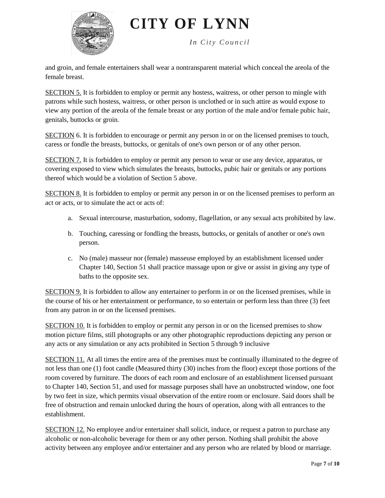

*In City Council*

and groin, and female entertainers shall wear a nontransparent material which conceal the areola of the female breast.

SECTION 5. It is forbidden to employ or permit any hostess, waitress, or other person to mingle with patrons while such hostess, waitress, or other person is unclothed or in such attire as would expose to view any portion of the areola of the female breast or any portion of the male and/or female pubic hair, genitals, buttocks or groin.

SECTION 6. It is forbidden to encourage or permit any person in or on the licensed premises to touch, caress or fondle the breasts, buttocks, or genitals of one's own person or of any other person.

SECTION 7. It is forbidden to employ or permit any person to wear or use any device, apparatus, or covering exposed to view which simulates the breasts, buttocks, pubic hair or genitals or any portions thereof which would be a violation of Section 5 above.

SECTION 8. It is forbidden to employ or permit any person in or on the licensed premises to perform an act or acts, or to simulate the act or acts of:

- a. Sexual intercourse, masturbation, sodomy, flagellation, or any sexual acts prohibited by law.
- b. Touching, caressing or fondling the breasts, buttocks, or genitals of another or one's own person.
- c. No (male) masseur nor (female) masseuse employed by an establishment licensed under Chapter 140, Section 51 shall practice massage upon or give or assist in giving any type of baths to the opposite sex.

SECTION 9. It is forbidden to allow any entertainer to perform in or on the licensed premises, while in the course of his or her entertainment or performance, to so entertain or perform less than three (3) feet from any patron in or on the licensed premises.

SECTION 10. It is forbidden to employ or permit any person in or on the licensed premises to show motion picture films, still photographs or any other photographic reproductions depicting any person or any acts or any simulation or any acts prohibited in Section 5 through 9 inclusive

SECTION 11. At all times the entire area of the premises must be continually illuminated to the degree of not less than one (1) foot candle (Measured thirty (30) inches from the floor) except those portions of the room covered by furniture. The doors of each room and enclosure of an establishment licensed pursuant to Chapter 140, Section 51, and used for massage purposes shall have an unobstructed window, one foot by two feet in size, which permits visual observation of the entire room or enclosure. Said doors shall be free of obstruction and remain unlocked during the hours of operation, along with all entrances to the establishment.

SECTION 12. No employee and/or entertainer shall solicit, induce, or request a patron to purchase any alcoholic or non-alcoholic beverage for them or any other person. Nothing shall prohibit the above activity between any employee and/or entertainer and any person who are related by blood or marriage.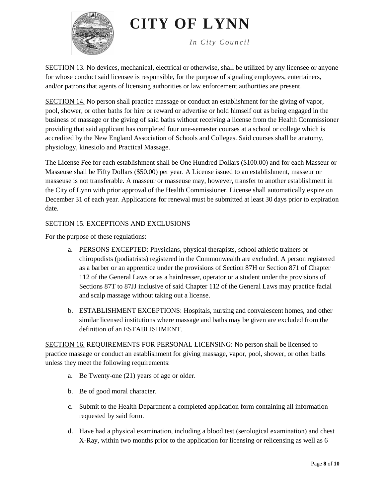

*In City Council*

SECTION 13. No devices, mechanical, electrical or otherwise, shall be utilized by any licensee or anyone for whose conduct said licensee is responsible, for the purpose of signaling employees, entertainers, and/or patrons that agents of licensing authorities or law enforcement authorities are present.

SECTION 14. No person shall practice massage or conduct an establishment for the giving of vapor, pool, shower, or other baths for hire or reward or advertise or hold himself out as being engaged in the business of massage or the giving of said baths without receiving a license from the Health Commissioner providing that said applicant has completed four one-semester courses at a school or college which is accredited by the New England Association of Schools and Colleges. Said courses shall be anatomy, physiology, kinesiolo and Practical Massage.

The License Fee for each establishment shall be One Hundred Dollars (\$100.00) and for each Masseur or Masseuse shall be Fifty Dollars (\$50.00) per year. A License issued to an establishment, masseur or masseuse is not transferable. A masseur or masseuse may, however, transfer to another establishment in the City of Lynn with prior approval of the Health Commissioner. License shall automatically expire on December 31 of each year. Applications for renewal must be submitted at least 30 days prior to expiration date.

## SECTION 15. EXCEPTIONS AND EXCLUSIONS

For the purpose of these regulations:

- a. PERSONS EXCEPTED: Physicians, physical therapists, school athletic trainers or chiropodists (podiatrists) registered in the Commonwealth are excluded. A person registered as a barber or an apprentice under the provisions of Section 87H or Section 871 of Chapter 112 of the General Laws or as a hairdresser, operator or a student under the provisions of Sections 87T to 87JJ inclusive of said Chapter 112 of the General Laws may practice facial and scalp massage without taking out a license.
- b. ESTABLISHMENT EXCEPTIONS: Hospitals, nursing and convalescent homes, and other similar licensed institutions where massage and baths may be given are excluded from the definition of an ESTABLISHMENT.

SECTION 16. REQUIREMENTS FOR PERSONAL LICENSING: No person shall be licensed to practice massage or conduct an establishment for giving massage, vapor, pool, shower, or other baths unless they meet the following requirements:

- a. Be Twenty-one (21) years of age or older.
- b. Be of good moral character.
- c. Submit to the Health Department a completed application form containing all information requested by said form.
- d. Have had a physical examination, including a blood test (serological examination) and chest X-Ray, within two months prior to the application for licensing or relicensing as well as 6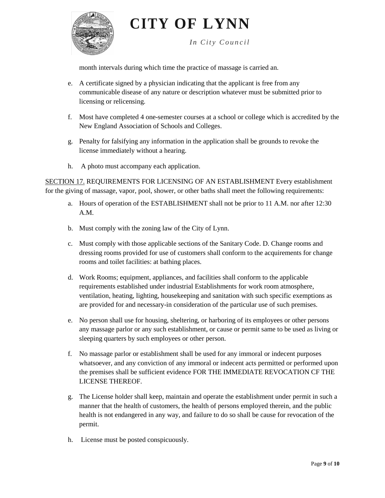

*In City Council*

month intervals during which time the practice of massage is carried an.

- e. A certificate signed by a physician indicating that the applicant is free from any communicable disease of any nature or description whatever must be submitted prior to licensing or relicensing.
- f. Most have completed 4 one-semester courses at a school or college which is accredited by the New England Association of Schools and Colleges.
- g. Penalty for falsifying any information in the application shall be grounds to revoke the license immediately without a hearing.
- h. A photo must accompany each application.

SECTION 17. REQUIREMENTS FOR LICENSING OF AN ESTABLISHMENT Every establishment for the giving of massage, vapor, pool, shower, or other baths shall meet the following requirements:

- a. Hours of operation of the ESTABLISHMENT shall not be prior to 11 A.M. nor after 12:30 A.M.
- b. Must comply with the zoning law of the City of Lynn.
- c. Must comply with those applicable sections of the Sanitary Code. D. Change rooms and dressing rooms provided for use of customers shall conform to the acquirements for change rooms and toilet facilities: at bathing places.
- d. Work Rooms; equipment, appliances, and facilities shall conform to the applicable requirements established under industrial Establishments for work room atmosphere, ventilation, heating, lighting, housekeeping and sanitation with such specific exemptions as are provided for and necessary-in consideration of the particular use of such premises.
- e. No person shall use for housing, sheltering, or harboring of its employees or other persons any massage parlor or any such establishment, or cause or permit same to be used as living or sleeping quarters by such employees or other person.
- f. No massage parlor or establishment shall be used for any immoral or indecent purposes whatsoever, and any conviction of any immoral or indecent acts permitted or performed upon the premises shall be sufficient evidence FOR THE IMMEDIATE REVOCATION CF THE LICENSE THEREOF.
- g. The License holder shall keep, maintain and operate the establishment under permit in such a manner that the health of customers, the health of persons employed therein, and the public health is not endangered in any way, and failure to do so shall be cause for revocation of the permit.
- h. License must be posted conspicuously.